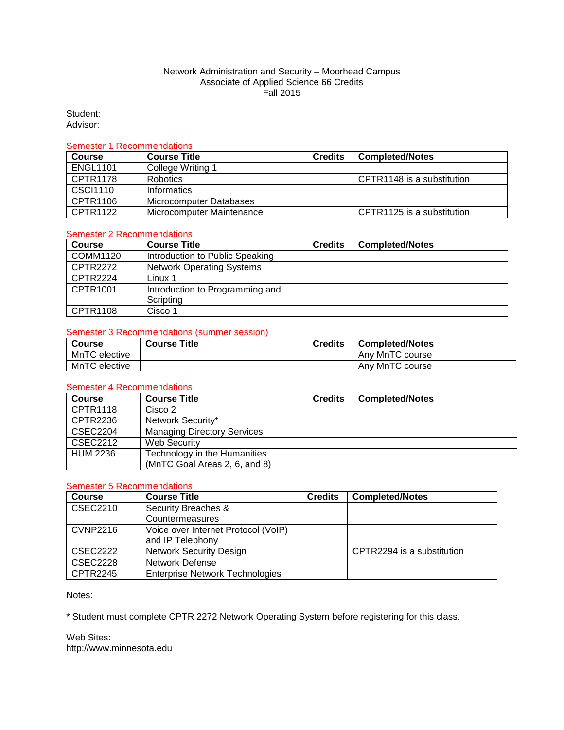### Network Administration and Security – Moorhead Campus Associate of Applied Science 66 Credits Fall 2015

Student: Advisor:

#### Semester 1 Recommendations

| <b>Course</b>   | <b>Course Title</b>       | <b>Credits</b> | <b>Completed/Notes</b>     |
|-----------------|---------------------------|----------------|----------------------------|
| <b>ENGL1101</b> | College Writing 1         |                |                            |
| CPTR1178        | <b>Robotics</b>           |                | CPTR1148 is a substitution |
| CSCI1110        | <b>Informatics</b>        |                |                            |
| CPTR1106        | Microcomputer Databases   |                |                            |
| CPTR1122        | Microcomputer Maintenance |                | CPTR1125 is a substitution |

# Semester 2 Recommendations

| <b>Course</b>   | <b>Course Title</b>              | <b>Credits</b> | <b>Completed/Notes</b> |
|-----------------|----------------------------------|----------------|------------------------|
| COMM1120        | Introduction to Public Speaking  |                |                        |
| CPTR2272        | <b>Network Operating Systems</b> |                |                        |
| CPTR2224        | Linux 1                          |                |                        |
| CPTR1001        | Introduction to Programming and  |                |                        |
|                 | Scripting                        |                |                        |
| <b>CPTR1108</b> | Cisco 1                          |                |                        |

### Semester 3 Recommendations (summer session)

| <b>Course</b> | <b>Course Title</b> | <b>Credits</b> | <b>Completed/Notes</b> |
|---------------|---------------------|----------------|------------------------|
| MnTC elective |                     |                | Any MnTC course        |
| MnTC elective |                     |                | Any MnTC course        |

#### Semester 4 Recommendations

| <b>Course</b>   | <b>Course Title</b>                | <b>Credits</b> | <b>Completed/Notes</b> |
|-----------------|------------------------------------|----------------|------------------------|
| <b>CPTR1118</b> | Cisco 2                            |                |                        |
| CPTR2236        | Network Security*                  |                |                        |
| <b>CSEC2204</b> | <b>Managing Directory Services</b> |                |                        |
| CSEC2212        | Web Security                       |                |                        |
| <b>HUM 2236</b> | Technology in the Humanities       |                |                        |
|                 | (MnTC Goal Areas 2, 6, and 8)      |                |                        |

## Semester 5 Recommendations

| <b>Course</b>   | <b>Course Title</b>                    | <b>Credits</b> | <b>Completed/Notes</b>     |
|-----------------|----------------------------------------|----------------|----------------------------|
| CSEC2210        | Security Breaches &                    |                |                            |
|                 | Countermeasures                        |                |                            |
| <b>CVNP2216</b> | Voice over Internet Protocol (VoIP)    |                |                            |
|                 | and IP Telephony                       |                |                            |
| <b>CSEC2222</b> | <b>Network Security Design</b>         |                | CPTR2294 is a substitution |
| <b>CSEC2228</b> | <b>Network Defense</b>                 |                |                            |
| <b>CPTR2245</b> | <b>Enterprise Network Technologies</b> |                |                            |

Notes:

\* Student must complete CPTR 2272 Network Operating System before registering for this class.

Web Sites: http://www.minnesota.edu